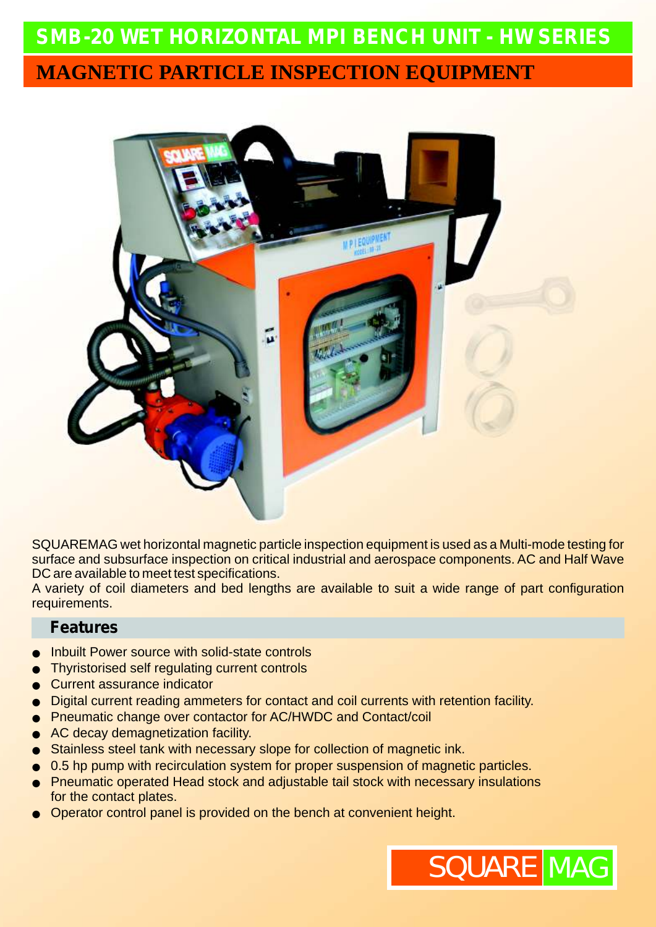# **SMB-20** *WET HORIZONTAL MPI BENCH UNIT - HW SERIES* **MAGNETIC PARTICLE INSPECTION EQUIPMENT**



SQUAREMAG wet horizontal magnetic particle inspection equipment is used as a Multi-mode testing for surface and subsurface inspection on critical industrial and aerospace components. AC and Half Wave DC are available to meet test specifications.

A variety of coil diameters and bed lengths are available to suit a wide range of part configuration requirements.

#### **Features**

- Inbuilt Power source with solid-state controls
- Thyristorised self regulating current controls
- Current assurance indicator
- Digital current reading ammeters for contact and coil currents with retention facility.
- Pneumatic change over contactor for AC/HWDC and Contact/coil
- AC decay demagnetization facility.
- Stainless steel tank with necessary slope for collection of magnetic ink.
- 0.5 hp pump with recirculation system for proper suspension of magnetic particles.
- Pneumatic operated Head stock and adjustable tail stock with necessary insulations for the contact plates.
- Operator control panel is provided on the bench at convenient height.